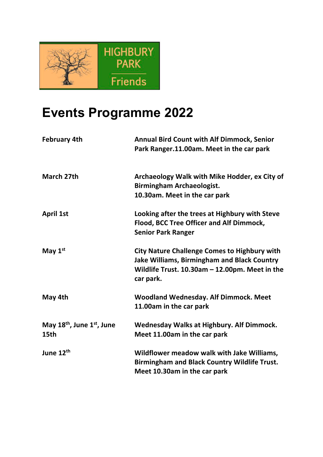

## **Events Programme 2022**

| <b>February 4th</b>                    | <b>Annual Bird Count with Alf Dimmock, Senior</b><br>Park Ranger.11.00am. Meet in the car park                                                                              |
|----------------------------------------|-----------------------------------------------------------------------------------------------------------------------------------------------------------------------------|
| March 27th                             | Archaeology Walk with Mike Hodder, ex City of<br><b>Birmingham Archaeologist.</b><br>10.30am. Meet in the car park                                                          |
| <b>April 1st</b>                       | Looking after the trees at Highbury with Steve<br>Flood, BCC Tree Officer and Alf Dimmock,<br><b>Senior Park Ranger</b>                                                     |
| May $1st$                              | <b>City Nature Challenge Comes to Highbury with</b><br><b>Jake Williams, Birmingham and Black Country</b><br>Wildlife Trust. $10.30$ am - 12.00pm. Meet in the<br>car park. |
| May 4th                                | <b>Woodland Wednesday. Alf Dimmock. Meet</b><br>11.00am in the car park                                                                                                     |
| May $18th$ , June $1st$ , June<br>15th | <b>Wednesday Walks at Highbury. Alf Dimmock.</b><br>Meet 11.00am in the car park                                                                                            |
| June 12 <sup>th</sup>                  | Wildflower meadow walk with Jake Williams,<br><b>Birmingham and Black Country Wildlife Trust.</b><br>Meet 10.30am in the car park                                           |